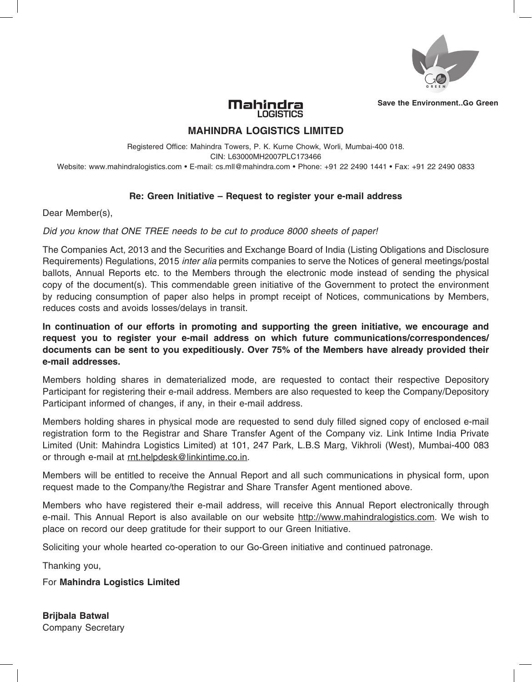

**Save the Environment..Go Green**

### Mahindra **LOGISTICS**

# **MAHINDRA LOGISTICS LIMITED**

Registered Office: Mahindra Towers, P. K. Kurne Chowk, Worli, Mumbai-400 018. CIN: L63000MH2007PLC173466 Website: www.mahindralogistics.com • E-mail: cs.mll@mahindra.com • Phone: +91 22 2490 1441 • Fax: +91 22 2490 0833

## **Re: Green Initiative – Request to register your e-mail address**

Dear Member(s),

### *Did you know that ONE TREE needs to be cut to produce 8000 sheets of paper!*

The Companies Act, 2013 and the Securities and Exchange Board of India (Listing Obligations and Disclosure Requirements) Regulations, 2015 *inter alia* permits companies to serve the Notices of general meetings/postal ballots, Annual Reports etc. to the Members through the electronic mode instead of sending the physical copy of the document(s). This commendable green initiative of the Government to protect the environment by reducing consumption of paper also helps in prompt receipt of Notices, communications by Members, reduces costs and avoids losses/delays in transit.

**In continuation of our efforts in promoting and supporting the green initiative, we encourage and request you to register your e-mail address on which future communications/correspondences/ documents can be sent to you expeditiously. Over 75% of the Members have already provided their e-mail addresses.**

Members holding shares in dematerialized mode, are requested to contact their respective Depository Participant for registering their e-mail address. Members are also requested to keep the Company/Depository Participant informed of changes, if any, in their e-mail address.

Members holding shares in physical mode are requested to send duly filled signed copy of enclosed e-mail registration form to the Registrar and Share Transfer Agent of the Company viz. Link Intime India Private Limited (Unit: Mahindra Logistics Limited) at 101, 247 Park, L.B.S Marg, Vikhroli (West), Mumbai-400 083 or through e-mail at rnt.helpdesk@linkintime.co.in.

Members will be entitled to receive the Annual Report and all such communications in physical form, upon request made to the Company/the Registrar and Share Transfer Agent mentioned above.

Members who have registered their e-mail address, will receive this Annual Report electronically through e-mail. This Annual Report is also available on our website http://www.mahindralogistics.com. We wish to place on record our deep gratitude for their support to our Green Initiative.

Soliciting your whole hearted co-operation to our Go-Green initiative and continued patronage.

Thanking you,

For **Mahindra Logistics Limited**

**Brijbala Batwal** Company Secretary